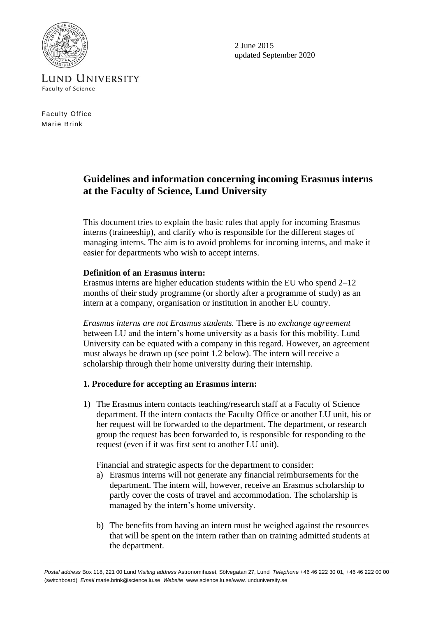

2 June 2015 updated September 2020

**LUND UNIVERSITY Faculty of Science** 

Faculty Office Marie Brink

# **Guidelines and information concerning incoming Erasmus interns at the Faculty of Science, Lund University**

This document tries to explain the basic rules that apply for incoming Erasmus interns (traineeship), and clarify who is responsible for the different stages of managing interns. The aim is to avoid problems for incoming interns, and make it easier for departments who wish to accept interns.

## **Definition of an Erasmus intern:**

Erasmus interns are higher education students within the EU who spend 2–12 months of their study programme (or shortly after a programme of study) as an intern at a company, organisation or institution in another EU country.

*Erasmus interns are not Erasmus students.* There is no *exchange agreement* between LU and the intern's home university as a basis for this mobility. Lund University can be equated with a company in this regard. However, an agreement must always be drawn up (see point 1.2 below). The intern will receive a scholarship through their home university during their internship.

# **1. Procedure for accepting an Erasmus intern:**

1) The Erasmus intern contacts teaching/research staff at a Faculty of Science department. If the intern contacts the Faculty Office or another LU unit, his or her request will be forwarded to the department. The department, or research group the request has been forwarded to, is responsible for responding to the request (even if it was first sent to another LU unit).

Financial and strategic aspects for the department to consider:

- a) Erasmus interns will not generate any financial reimbursements for the department. The intern will, however, receive an Erasmus scholarship to partly cover the costs of travel and accommodation. The scholarship is managed by the intern's home university.
- b) The benefits from having an intern must be weighed against the resources that will be spent on the intern rather than on training admitted students at the department.

*Postal address* Box 118, 221 00 Lund *Visiting address* Astronomihuset, Sölvegatan 27, Lund *Telephone* +46 46 222 30 01, +46 46 222 00 00 (switchboard) *Email* marie.brink@science.lu.se *Website* www.science.lu.se/www.lunduniversity.se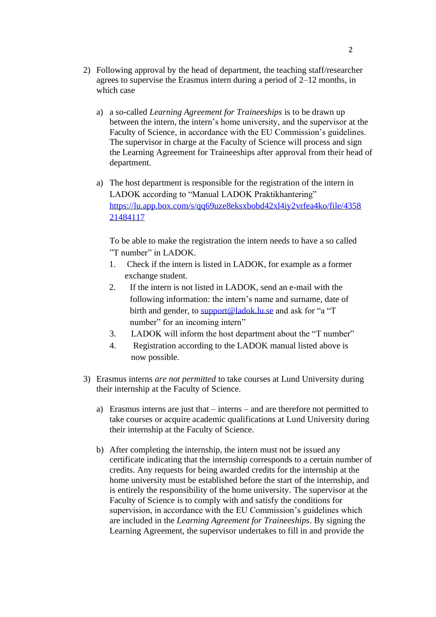- 2) Following approval by the head of department, the teaching staff/researcher agrees to supervise the Erasmus intern during a period of 2–12 months, in which case
	- a) a so-called *Learning Agreement for Traineeships* is to be drawn up between the intern, the intern's home university, and the supervisor at the Faculty of Science, in accordance with the EU Commission's guidelines. The supervisor in charge at the Faculty of Science will process and sign the Learning Agreement for Traineeships after approval from their head of department.
	- a) The host department is responsible for the registration of the intern in LADOK according to "Manual LADOK Praktikhantering" [https://lu.app.box.com/s/qq69uze8eksxbobd42xl4iy2vrfea4ko/file/4358](https://lu.app.box.com/s/qq69uze8eksxbobd42xl4iy2vrfea4ko/file/435821484117) [21484117](https://lu.app.box.com/s/qq69uze8eksxbobd42xl4iy2vrfea4ko/file/435821484117)

To be able to make the registration the intern needs to have a so called "T number" in LADOK.

- 1. Check if the intern is listed in LADOK, for example as a former exchange student.
- 2. If the intern is not listed in LADOK, send an e-mail with the following information: the intern's name and surname, date of birth and gender, to [support@ladok.lu.se](mailto:support@ladok.lu.se) and ask for "a "T number" for an incoming intern"
- 3. LADOK will inform the host department about the "T number"
- 4. Registration according to the LADOK manual listed above is now possible.
- 3) Erasmus interns *are not permitted* to take courses at Lund University during their internship at the Faculty of Science.
	- a) Erasmus interns are just that interns and are therefore not permitted to take courses or acquire academic qualifications at Lund University during their internship at the Faculty of Science.
	- b) After completing the internship, the intern must not be issued any certificate indicating that the internship corresponds to a certain number of credits. Any requests for being awarded credits for the internship at the home university must be established before the start of the internship, and is entirely the responsibility of the home university. The supervisor at the Faculty of Science is to comply with and satisfy the conditions for supervision, in accordance with the EU Commission's guidelines which are included in the *Learning Agreement for Traineeships*. By signing the Learning Agreement, the supervisor undertakes to fill in and provide the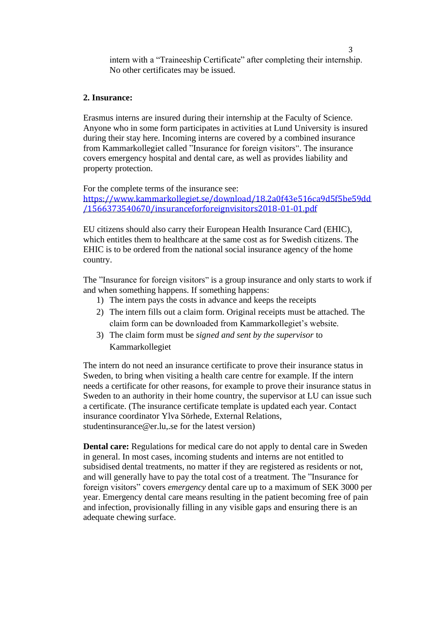intern with a "Traineeship Certificate" after completing their internship. No other certificates may be issued.

#### **2. Insurance:**

Erasmus interns are insured during their internship at the Faculty of Science. Anyone who in some form participates in activities at Lund University is insured during their stay here. Incoming interns are covered by a combined insurance from Kammarkollegiet called "Insurance for foreign visitors". The insurance covers emergency hospital and dental care, as well as provides liability and property protection.

For the complete terms of the insurance see: [https://www.kammarkollegiet.se/download/18.2a0f43e516ca9d5f5be59dd](https://www.kammarkollegiet.se/download/18.2a0f43e516ca9d5f5be59dd/1566373540670/insuranceforforeignvisitors2018-01-01.pdf) [/1566373540670/insuranceforforeignvisitors2018-01-01.pdf](https://www.kammarkollegiet.se/download/18.2a0f43e516ca9d5f5be59dd/1566373540670/insuranceforforeignvisitors2018-01-01.pdf)

EU citizens should also carry their European Health Insurance Card (EHIC), which entitles them to healthcare at the same cost as for Swedish citizens. The EHIC is to be ordered from the national social insurance agency of the home country.

The "Insurance for foreign visitors" is a group insurance and only starts to work if and when something happens. If something happens:

- 1) The intern pays the costs in advance and keeps the receipts
- 2) The intern fills out a claim form. Original receipts must be attached. The claim form can be downloaded from Kammarkollegiet's website.
- 3) The claim form must be *signed and sent by the supervisor* to Kammarkollegiet

The intern do not need an insurance certificate to prove their insurance status in Sweden, to bring when visiting a health care centre for example. If the intern needs a certificate for other reasons, for example to prove their insurance status in Sweden to an authority in their home country, the supervisor at LU can issue such a certificate. (The insurance certificate template is updated each year. Contact insurance coordinator Ylva Sörhede, External Relations, studentinsurance@er.lu,.se for the latest version)

**Dental care:** Regulations for medical care do not apply to dental care in Sweden in general. In most cases, incoming students and interns are not entitled to subsidised dental treatments, no matter if they are registered as residents or not, and will generally have to pay the total cost of a treatment. The "Insurance for foreign visitors" covers *emergency* dental care up to a maximum of SEK 3000 per year. Emergency dental care means resulting in the patient becoming free of pain and infection, provisionally filling in any visible gaps and ensuring there is an adequate chewing surface.